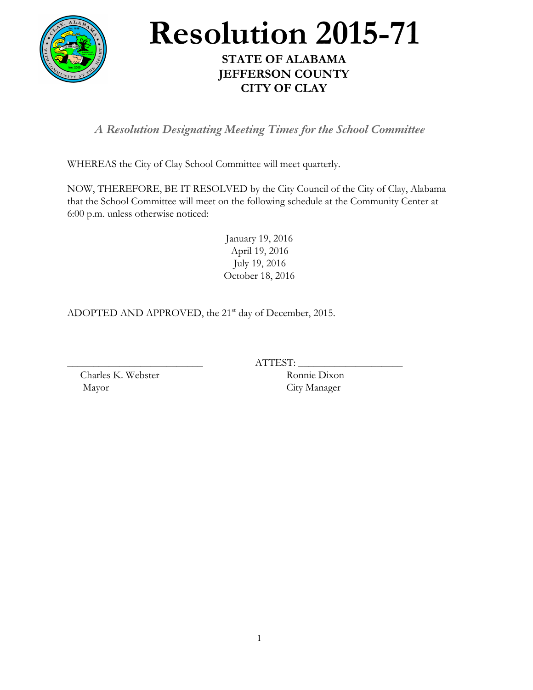

## **Resolution 2015-71**

## **STATE OF ALABAMA JEFFERSON COUNTY CITY OF CLAY**

*A Resolution Designating Meeting Times for the School Committee*

WHEREAS the City of Clay School Committee will meet quarterly.

NOW, THEREFORE, BE IT RESOLVED by the City Council of the City of Clay, Alabama that the School Committee will meet on the following schedule at the Community Center at 6:00 p.m. unless otherwise noticed:

> January 19, 2016 April 19, 2016 July 19, 2016 October 18, 2016

ADOPTED AND APPROVED, the 21<sup>st</sup> day of December, 2015.

 $ATTEST:$ 

Charles K. Webster Ronnie Dixon Mayor City Manager